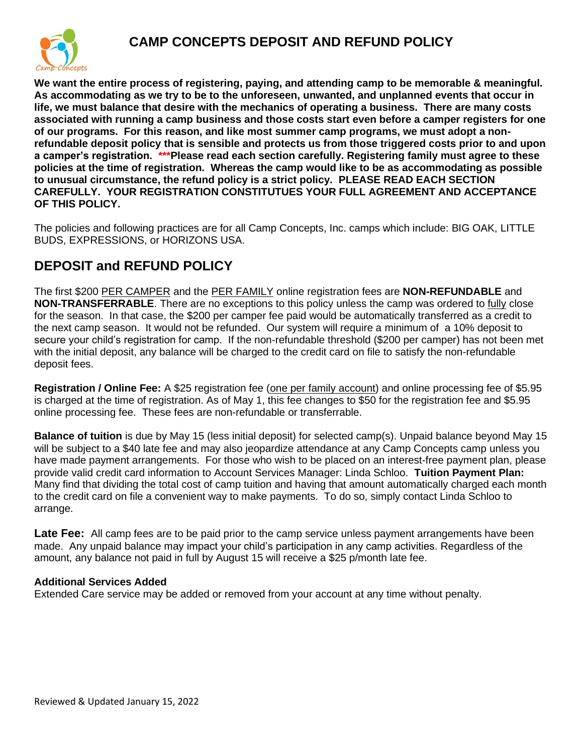

**We want the entire process of registering, paying, and attending camp to be memorable & meaningful. As accommodating as we try to be to the unforeseen, unwanted, and unplanned events that occur in life, we must balance that desire with the mechanics of operating a business. There are many costs associated with running a camp business and those costs start even before a camper registers for one of our programs. For this reason, and like most summer camp programs, we must adopt a nonrefundable deposit policy that is sensible and protects us from those triggered costs prior to and upon a camper's registration. \*\*\*Please read each section carefully. Registering family must agree to these policies at the time of registration. Whereas the camp would like to be as accommodating as possible to unusual circumstance, the refund policy is a strict policy. PLEASE READ EACH SECTION CAREFULLY. YOUR REGISTRATION CONSTITUTUES YOUR FULL AGREEMENT AND ACCEPTANCE OF THIS POLICY.** 

The policies and following practices are for all Camp Concepts, Inc. camps which include: BIG OAK, LITTLE BUDS, EXPRESSIONS, or HORIZONS USA.

# **DEPOSIT and REFUND POLICY**

The first \$200 PER CAMPER and the PER FAMILY online registration fees are **NON-REFUNDABLE** and **NON-TRANSFERRABLE**. There are no exceptions to this policy unless the camp was ordered to fully close for the season. In that case, the \$200 per camper fee paid would be automatically transferred as a credit to the next camp season. It would not be refunded. Our system will require a minimum of a 10% deposit to secure your child's registration for camp. If the non-refundable threshold (\$200 per camper) has not been met with the initial deposit, any balance will be charged to the credit card on file to satisfy the non-refundable deposit fees.

**Registration / Online Fee:** A \$25 registration fee (one per family account) and online processing fee of \$5.95 is charged at the time of registration. As of May 1, this fee changes to \$50 for the registration fee and \$5.95 online processing fee. These fees are non-refundable or transferrable.

**Balance of tuition** is due by May 15 (less initial deposit) for selected camp(s). Unpaid balance beyond May 15 will be subject to a \$40 late fee and may also jeopardize attendance at any Camp Concepts camp unless you have made payment arrangements. For those who wish to be placed on an interest-free payment plan, please provide valid credit card information to Account Services Manager: Linda Schloo. **Tuition Payment Plan:** Many find that dividing the total cost of camp tuition and having that amount automatically charged each month to the credit card on file a convenient way to make payments. To do so, simply contact Linda Schloo to arrange.

Late Fee: All camp fees are to be paid prior to the camp service unless payment arrangements have been made. Any unpaid balance may impact your child's participation in any camp activities. Regardless of the amount, any balance not paid in full by August 15 will receive a \$25 p/month late fee.

# **Additional Services Added**

Extended Care service may be added or removed from your account at any time without penalty.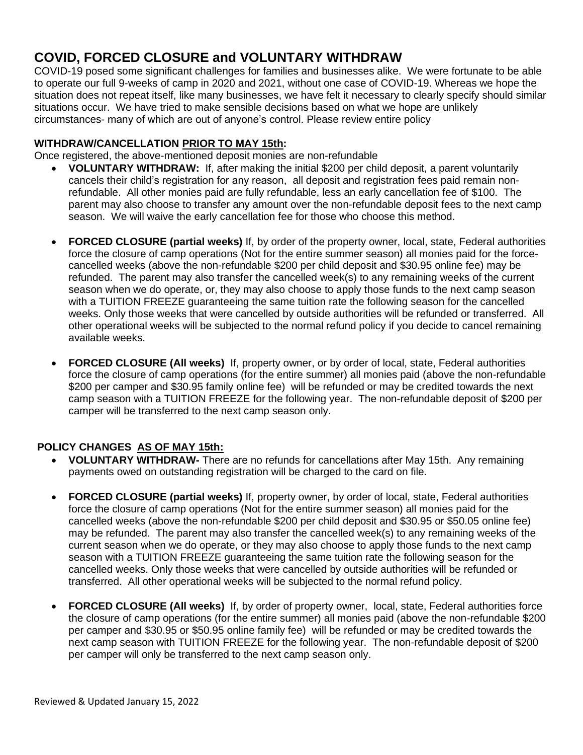# **COVID, FORCED CLOSURE and VOLUNTARY WITHDRAW**

COVID-19 posed some significant challenges for families and businesses alike. We were fortunate to be able to operate our full 9-weeks of camp in 2020 and 2021, without one case of COVID-19. Whereas we hope the situation does not repeat itself, like many businesses, we have felt it necessary to clearly specify should similar situations occur. We have tried to make sensible decisions based on what we hope are unlikely circumstances- many of which are out of anyone's control. Please review entire policy

## **WITHDRAW/CANCELLATION PRIOR TO MAY 15th:**

Once registered, the above-mentioned deposit monies are non-refundable

- **VOLUNTARY WITHDRAW:** If, after making the initial \$200 per child deposit, a parent voluntarily cancels their child's registration for any reason, all deposit and registration fees paid remain nonrefundable. All other monies paid are fully refundable, less an early cancellation fee of \$100. The parent may also choose to transfer any amount over the non-refundable deposit fees to the next camp season. We will waive the early cancellation fee for those who choose this method.
- **FORCED CLOSURE (partial weeks)** If, by order of the property owner, local, state, Federal authorities force the closure of camp operations (Not for the entire summer season) all monies paid for the forcecancelled weeks (above the non-refundable \$200 per child deposit and \$30.95 online fee) may be refunded. The parent may also transfer the cancelled week(s) to any remaining weeks of the current season when we do operate, or, they may also choose to apply those funds to the next camp season with a TUITION FREEZE guaranteeing the same tuition rate the following season for the cancelled weeks. Only those weeks that were cancelled by outside authorities will be refunded or transferred. All other operational weeks will be subjected to the normal refund policy if you decide to cancel remaining available weeks.
- **FORCED CLOSURE (All weeks)** If, property owner, or by order of local, state, Federal authorities force the closure of camp operations (for the entire summer) all monies paid (above the non-refundable \$200 per camper and \$30.95 family online fee) will be refunded or may be credited towards the next camp season with a TUITION FREEZE for the following year. The non-refundable deposit of \$200 per camper will be transferred to the next camp season only.

# **POLICY CHANGES AS OF MAY 15th:**

- **VOLUNTARY WITHDRAW-** There are no refunds for cancellations after May 15th. Any remaining payments owed on outstanding registration will be charged to the card on file.
- **FORCED CLOSURE (partial weeks)** If, property owner, by order of local, state, Federal authorities force the closure of camp operations (Not for the entire summer season) all monies paid for the cancelled weeks (above the non-refundable \$200 per child deposit and \$30.95 or \$50.05 online fee) may be refunded. The parent may also transfer the cancelled week(s) to any remaining weeks of the current season when we do operate, or they may also choose to apply those funds to the next camp season with a TUITION FREEZE guaranteeing the same tuition rate the following season for the cancelled weeks. Only those weeks that were cancelled by outside authorities will be refunded or transferred. All other operational weeks will be subjected to the normal refund policy.
- **FORCED CLOSURE (All weeks)** If, by order of property owner, local, state, Federal authorities force the closure of camp operations (for the entire summer) all monies paid (above the non-refundable \$200 per camper and \$30.95 or \$50.95 online family fee) will be refunded or may be credited towards the next camp season with TUITION FREEZE for the following year. The non-refundable deposit of \$200 per camper will only be transferred to the next camp season only.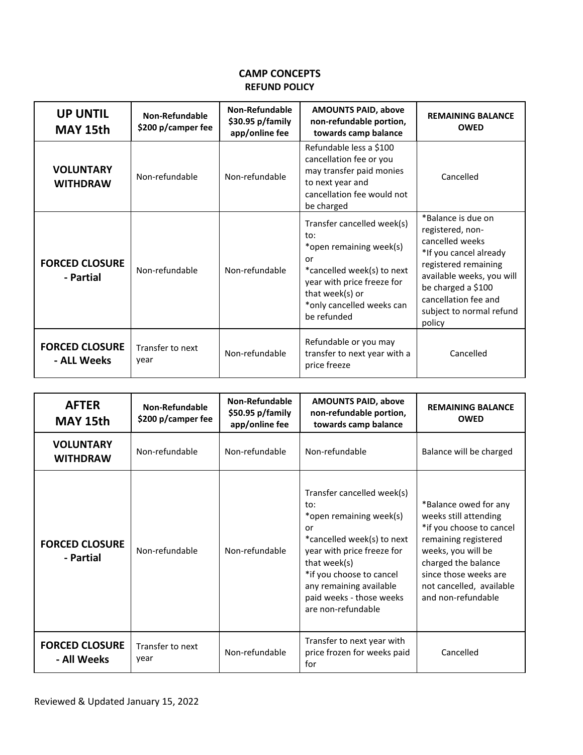### **CAMP CONCEPTS REFUND POLICY**

| <b>UP UNTIL</b><br>MAY 15th          | Non-Refundable<br>\$200 p/camper fee | Non-Refundable<br>\$30.95 p/family<br>app/online fee | <b>AMOUNTS PAID, above</b><br>non-refundable portion,<br>towards camp balance                                                                                                                 | <b>REMAINING BALANCE</b><br><b>OWED</b>                                                                                                                                                                                      |
|--------------------------------------|--------------------------------------|------------------------------------------------------|-----------------------------------------------------------------------------------------------------------------------------------------------------------------------------------------------|------------------------------------------------------------------------------------------------------------------------------------------------------------------------------------------------------------------------------|
| <b>VOLUNTARY</b><br><b>WITHDRAW</b>  | Non-refundable                       | Non-refundable                                       | Refundable less a \$100<br>cancellation fee or you<br>may transfer paid monies<br>to next year and<br>cancellation fee would not<br>be charged                                                | Cancelled                                                                                                                                                                                                                    |
| <b>FORCED CLOSURE</b><br>- Partial   | Non-refundable                       | Non-refundable                                       | Transfer cancelled week(s)<br>to:<br>*open remaining week(s)<br>or<br>*cancelled week(s) to next<br>year with price freeze for<br>that week(s) or<br>*only cancelled weeks can<br>be refunded | *Balance is due on<br>registered, non-<br>cancelled weeks<br>*If you cancel already<br>registered remaining<br>available weeks, you will<br>be charged a \$100<br>cancellation fee and<br>subject to normal refund<br>policy |
| <b>FORCED CLOSURE</b><br>- ALL Weeks | Transfer to next<br>year             | Non-refundable                                       | Refundable or you may<br>transfer to next year with a<br>price freeze                                                                                                                         | Cancelled                                                                                                                                                                                                                    |

| <b>AFTER</b><br>MAY 15th             | Non-Refundable<br>\$200 p/camper fee | Non-Refundable<br>\$50.95 p/family<br>app/online fee | <b>AMOUNTS PAID, above</b><br>non-refundable portion,<br>towards camp balance                                                                                                                                                                           | <b>REMAINING BALANCE</b><br><b>OWED</b>                                                                                                                                                                                    |
|--------------------------------------|--------------------------------------|------------------------------------------------------|---------------------------------------------------------------------------------------------------------------------------------------------------------------------------------------------------------------------------------------------------------|----------------------------------------------------------------------------------------------------------------------------------------------------------------------------------------------------------------------------|
| <b>VOLUNTARY</b><br><b>WITHDRAW</b>  | Non-refundable                       | Non-refundable                                       | Non-refundable                                                                                                                                                                                                                                          | Balance will be charged                                                                                                                                                                                                    |
| <b>FORCED CLOSURE</b><br>- Partial   | Non-refundable                       | Non-refundable                                       | Transfer cancelled week(s)<br>to:<br>*open remaining week(s)<br>or<br>*cancelled week(s) to next<br>year with price freeze for<br>that week(s)<br>*if you choose to cancel<br>any remaining available<br>paid weeks - those weeks<br>are non-refundable | *Balance owed for any<br>weeks still attending<br>*if you choose to cancel<br>remaining registered<br>weeks, you will be<br>charged the balance<br>since those weeks are<br>not cancelled, available<br>and non-refundable |
| <b>FORCED CLOSURE</b><br>- All Weeks | Transfer to next<br>year             | Non-refundable                                       | Transfer to next year with<br>price frozen for weeks paid<br>for                                                                                                                                                                                        | Cancelled                                                                                                                                                                                                                  |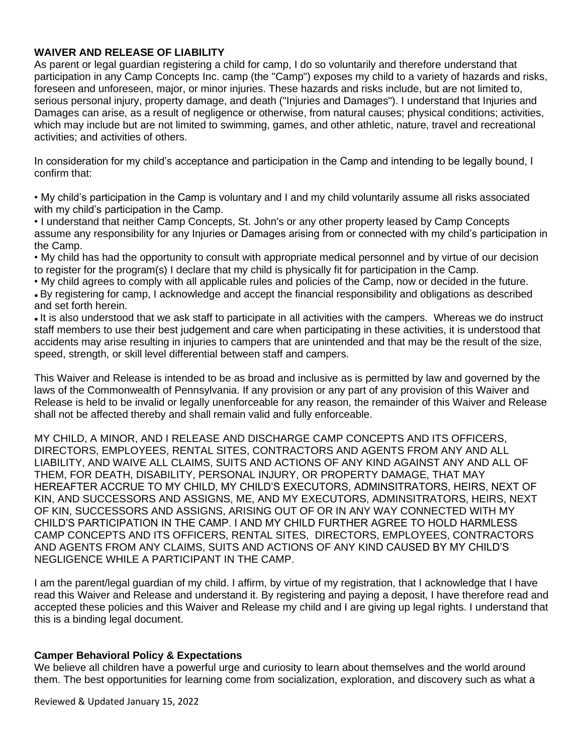## **WAIVER AND RELEASE OF LIABILITY**

As parent or legal guardian registering a child for camp, I do so voluntarily and therefore understand that participation in any Camp Concepts Inc. camp (the "Camp") exposes my child to a variety of hazards and risks, foreseen and unforeseen, major, or minor injuries. These hazards and risks include, but are not limited to, serious personal injury, property damage, and death ("Injuries and Damages"). I understand that Injuries and Damages can arise, as a result of negligence or otherwise, from natural causes; physical conditions; activities, which may include but are not limited to swimming, games, and other athletic, nature, travel and recreational activities; and activities of others.

In consideration for my child's acceptance and participation in the Camp and intending to be legally bound, I confirm that:

• My child's participation in the Camp is voluntary and I and my child voluntarily assume all risks associated with my child's participation in the Camp.

• I understand that neither Camp Concepts, St. John's or any other property leased by Camp Concepts assume any responsibility for any Injuries or Damages arising from or connected with my child's participation in the Camp.

• My child has had the opportunity to consult with appropriate medical personnel and by virtue of our decision to register for the program(s) I declare that my child is physically fit for participation in the Camp.

• My child agrees to comply with all applicable rules and policies of the Camp, now or decided in the future.

● By registering for camp, I acknowledge and accept the financial responsibility and obligations as described and set forth herein.

• It is also understood that we ask staff to participate in all activities with the campers. Whereas we do instruct staff members to use their best judgement and care when participating in these activities, it is understood that accidents may arise resulting in injuries to campers that are unintended and that may be the result of the size, speed, strength, or skill level differential between staff and campers.

This Waiver and Release is intended to be as broad and inclusive as is permitted by law and governed by the laws of the Commonwealth of Pennsylvania. If any provision or any part of any provision of this Waiver and Release is held to be invalid or legally unenforceable for any reason, the remainder of this Waiver and Release shall not be affected thereby and shall remain valid and fully enforceable.

MY CHILD, A MINOR, AND I RELEASE AND DISCHARGE CAMP CONCEPTS AND ITS OFFICERS, DIRECTORS, EMPLOYEES, RENTAL SITES, CONTRACTORS AND AGENTS FROM ANY AND ALL LIABILITY, AND WAIVE ALL CLAIMS, SUITS AND ACTIONS OF ANY KIND AGAINST ANY AND ALL OF THEM, FOR DEATH, DISABILITY, PERSONAL INJURY, OR PROPERTY DAMAGE, THAT MAY HEREAFTER ACCRUE TO MY CHILD, MY CHILD'S EXECUTORS, ADMINSITRATORS, HEIRS, NEXT OF KIN, AND SUCCESSORS AND ASSIGNS, ME, AND MY EXECUTORS, ADMINSITRATORS, HEIRS, NEXT OF KIN, SUCCESSORS AND ASSIGNS, ARISING OUT OF OR IN ANY WAY CONNECTED WITH MY CHILD'S PARTICIPATION IN THE CAMP. I AND MY CHILD FURTHER AGREE TO HOLD HARMLESS CAMP CONCEPTS AND ITS OFFICERS, RENTAL SITES, DIRECTORS, EMPLOYEES, CONTRACTORS AND AGENTS FROM ANY CLAIMS, SUITS AND ACTIONS OF ANY KIND CAUSED BY MY CHILD'S NEGLIGENCE WHILE A PARTICIPANT IN THE CAMP.

I am the parent/legal guardian of my child. I affirm, by virtue of my registration, that I acknowledge that I have read this Waiver and Release and understand it. By registering and paying a deposit, I have therefore read and accepted these policies and this Waiver and Release my child and I are giving up legal rights. I understand that this is a binding legal document.

### **Camper Behavioral Policy & Expectations**

We believe all children have a powerful urge and curiosity to learn about themselves and the world around them. The best opportunities for learning come from socialization, exploration, and discovery such as what a